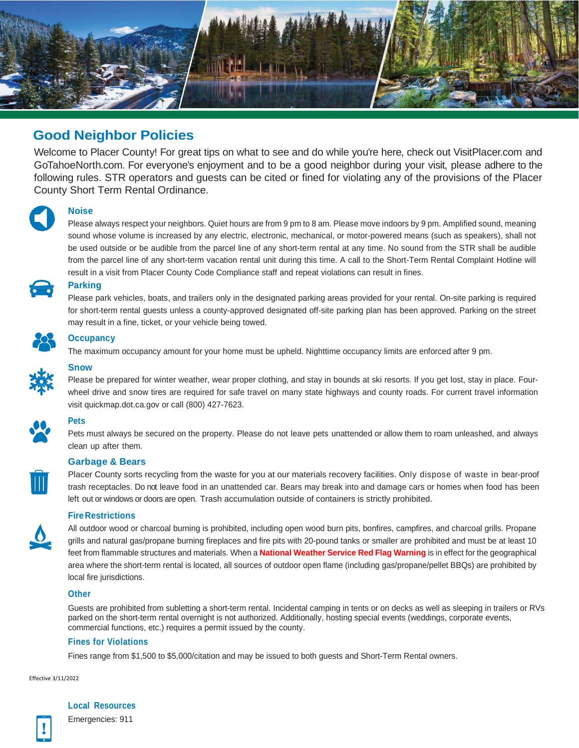

# **Good Neighbor Policies**

Welcome to Placer County! For great tips on what to see and do while you're here, check out VisitPlacer.com and GoTahoeNorth.com. For everyone's enjoyment and to be a good neighbor during your visit, please adhere to the following rules. STR operators and guests can be cited or fined for violating any of the provisions of the Placer County Short Term Rental Ordinance.



# **Noise**

Please always respect your neighbors. Quiet hours are from 9 pm to 8 am. Please move indoors by 9 pm. Amplified sound, meaning sound whose volume is increased by any electric, electronic, mechanical, or motor-powered means (such as speakers), shall not be used outside or be audible from the parcel line of any short-term rental at any time. No sound from the STR shall be audible from the parcel line of any short-term vacation rental unit during this time. A call to the Short-Term Rental Complaint Hotline will result in a visit from Placer County Code Compliance staff and repeat violations can result in fines.



## **Parking**

Please park vehicles, boats, and trailers only in the designated parking areas provided for your rental. On-site parking is required for short-term rental guests unless a county-approved designated off-site parking plan has been approved. Parking on the street may result in a fine, ticket, or your vehicle being towed.



#### **Occupancy**

The maximum occupancy amount for your home must be upheld. Nighttime occupancy limits are enforced after 9 pm.



### **Snow**

Please be prepared for winter weather, wear proper clothing, and stay in bounds at ski resorts. If you get lost, stay in place. Fourwheel drive and snow tires are required for safe travel on many state highways and county roads. For current travel information visit quickmap.dot.ca.gov or call (800) 427-7623.



 $\overline{\mathbb{I}}$ 

# **Pets**

Pets must always be secured on the property. Please do not leave pets unattended or allow them to roam unleashed, and always clean up after them.

### **Garbage & Bears**

Placer County sorts recycling from the waste for you at our materials recovery facilities. Only dispose of waste in bear-proof trash receptacles. Do not leave food in an unattended car. Bears may break into and damage cars or homes when food has been left out or windows or doors are open. Trash accumulation outside of containers is strictly prohibited.

#### **FireRestrictions**



All outdoor wood or charcoal burning is prohibited, including open wood burn pits, bonfires, campfires, and charcoal grills. Propane grills and natural gas/propane burning fireplaces and fire pits with 20-pound tanks or smaller are prohibited and must be at least 10 feet from flammable structures and materials. When a **National Weather Service Red Flag Warning** is in effect for the geographical area where the short-term rental is located, all sources of outdoor open flame (including gas/propane/pellet BBQs) are prohibited by local fire jurisdictions.

### **Other**

Guests are prohibited from subletting a short-term rental. Incidental camping in tents or on decks as well as sleeping in trailers or RVs parked on the short-term rental overnight is not authorized. Additionally, hosting special events (weddings, corporate events, commercial functions, etc.) requires a permit issued by the county.

### **Fines for Violations**

Fines range from \$1,500 to \$5,000/citation and may be issued to both guests and Short-Term Rental owners.

Effective 3/11/2022

# **Local Resources**

Emergencies: 911